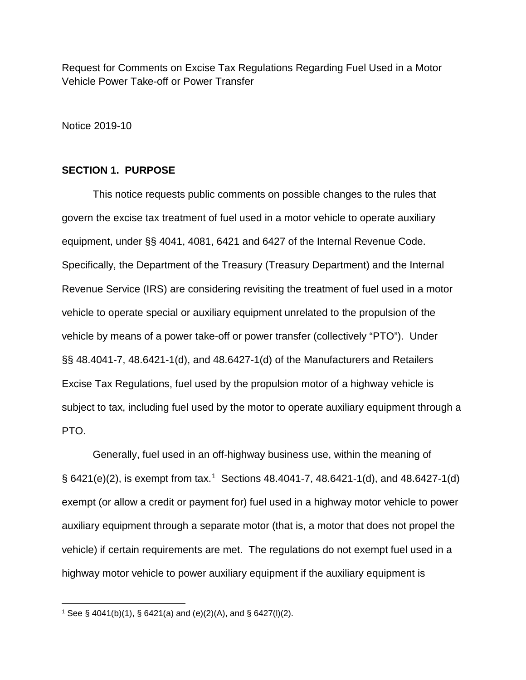Request for Comments on Excise Tax Regulations Regarding Fuel Used in a Motor Vehicle Power Take-off or Power Transfer

Notice 2019-10

## **SECTION 1. PURPOSE**

This notice requests public comments on possible changes to the rules that govern the excise tax treatment of fuel used in a motor vehicle to operate auxiliary equipment, under §§ 4041, 4081, 6421 and 6427 of the Internal Revenue Code. Specifically, the Department of the Treasury (Treasury Department) and the Internal Revenue Service (IRS) are considering revisiting the treatment of fuel used in a motor vehicle to operate special or auxiliary equipment unrelated to the propulsion of the vehicle by means of a power take-off or power transfer (collectively "PTO"). Under §§ 48.4041-7, 48.6421-1(d), and 48.6427-1(d) of the Manufacturers and Retailers Excise Tax Regulations, fuel used by the propulsion motor of a highway vehicle is subject to tax, including fuel used by the motor to operate auxiliary equipment through a PTO.

Generally, fuel used in an off-highway business use, within the meaning of  $\S$  642[1](#page-0-0)(e)(2), is exempt from tax.<sup>1</sup> Sections 48.4041-7, 48.6421-1(d), and 48.6427-1(d) exempt (or allow a credit or payment for) fuel used in a highway motor vehicle to power auxiliary equipment through a separate motor (that is, a motor that does not propel the vehicle) if certain requirements are met. The regulations do not exempt fuel used in a highway motor vehicle to power auxiliary equipment if the auxiliary equipment is

<span id="page-0-0"></span>l <sup>1</sup> See § 4041(b)(1), § 6421(a) and (e)(2)(A), and § 6427(l)(2).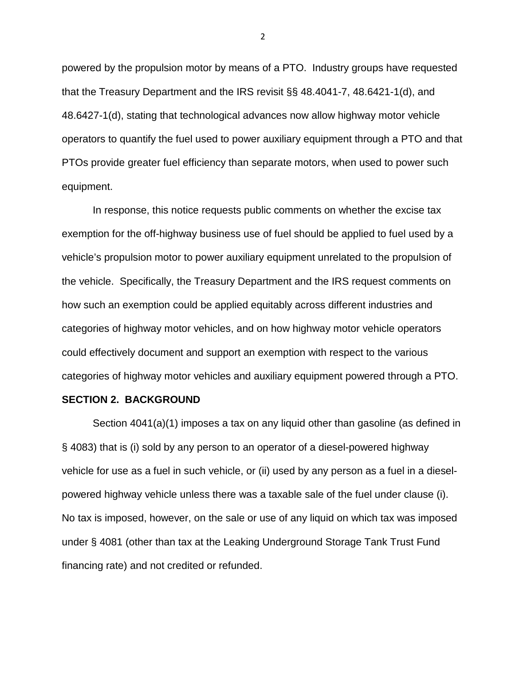powered by the propulsion motor by means of a PTO. Industry groups have requested that the Treasury Department and the IRS revisit §§ 48.4041-7, 48.6421-1(d), and 48.6427-1(d), stating that technological advances now allow highway motor vehicle operators to quantify the fuel used to power auxiliary equipment through a PTO and that PTOs provide greater fuel efficiency than separate motors, when used to power such equipment.

In response, this notice requests public comments on whether the excise tax exemption for the off-highway business use of fuel should be applied to fuel used by a vehicle's propulsion motor to power auxiliary equipment unrelated to the propulsion of the vehicle. Specifically, the Treasury Department and the IRS request comments on how such an exemption could be applied equitably across different industries and categories of highway motor vehicles, and on how highway motor vehicle operators could effectively document and support an exemption with respect to the various categories of highway motor vehicles and auxiliary equipment powered through a PTO.

## **SECTION 2. BACKGROUND**

Section 4041(a)(1) imposes a tax on any liquid other than gasoline (as defined in § 4083) that is (i) sold by any person to an operator of a diesel-powered highway vehicle for use as a fuel in such vehicle, or (ii) used by any person as a fuel in a dieselpowered highway vehicle unless there was a taxable sale of the fuel under clause (i). No tax is imposed, however, on the sale or use of any liquid on which tax was imposed under § 4081 (other than tax at the Leaking Underground Storage Tank Trust Fund financing rate) and not credited or refunded.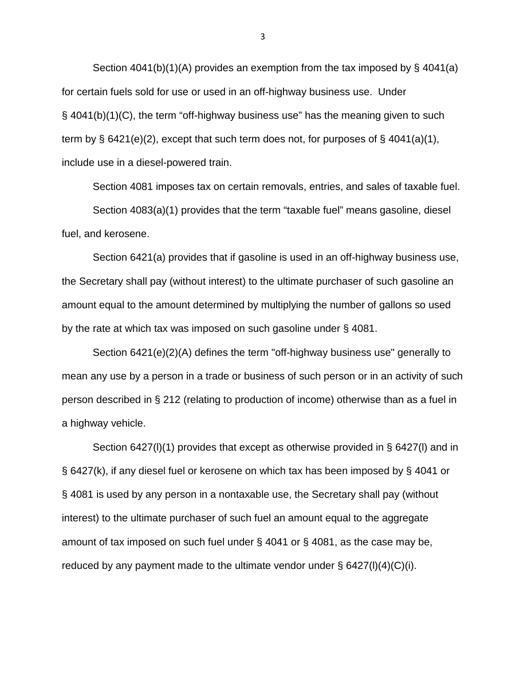Section 4041(b)(1)(A) provides an exemption from the tax imposed by § 4041(a) for certain fuels sold for use or used in an off-highway business use. Under § 4041(b)(1)(C), the term "off-highway business use" has the meaning given to such term by  $\S$  6421(e)(2), except that such term does not, for purposes of  $\S$  4041(a)(1), include use in a diesel-powered train.

Section 4081 imposes tax on certain removals, entries, and sales of taxable fuel. Section 4083(a)(1) provides that the term "taxable fuel" means gasoline, diesel fuel, and kerosene.

Section 6421(a) provides that if gasoline is used in an off-highway business use, the Secretary shall pay (without interest) to the ultimate purchaser of such gasoline an amount equal to the amount determined by multiplying the number of gallons so used by the rate at which tax was imposed on such gasoline under § 4081.

Section 6421(e)(2)(A) defines the term "off-highway business use" generally to mean any use by a person in a trade or business of such person or in an activity of such person described in § 212 (relating to production of income) otherwise than as a fuel in a highway vehicle.

Section 6427(l)(1) provides that except as otherwise provided in § 6427(l) and in § 6427(k), if any diesel fuel or kerosene on which tax has been imposed by § 4041 or § 4081 is used by any person in a nontaxable use, the Secretary shall pay (without interest) to the ultimate purchaser of such fuel an amount equal to the aggregate amount of tax imposed on such fuel under § 4041 or § 4081, as the case may be, reduced by any payment made to the ultimate vendor under  $\S$  6427(l)(4)(C)(i).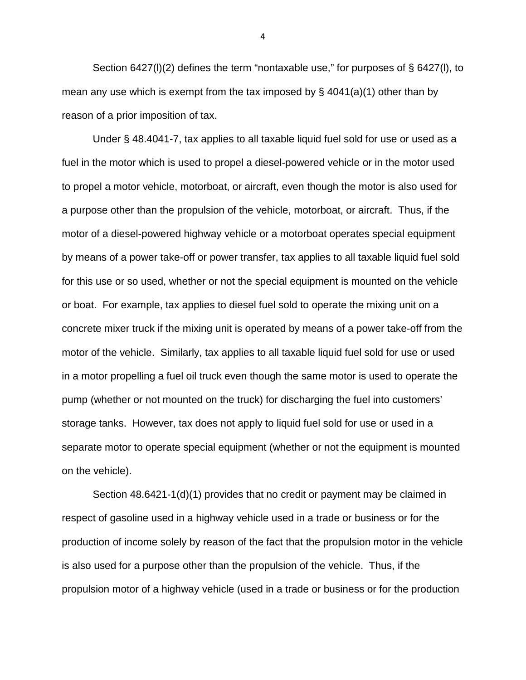Section 6427(I)(2) defines the term "nontaxable use," for purposes of  $\S$  6427(I), to mean any use which is exempt from the tax imposed by §  $4041(a)(1)$  other than by reason of a prior imposition of tax.

Under § 48.4041-7, tax applies to all taxable liquid fuel sold for use or used as a fuel in the motor which is used to propel a diesel-powered vehicle or in the motor used to propel a motor vehicle, motorboat, or aircraft, even though the motor is also used for a purpose other than the propulsion of the vehicle, motorboat, or aircraft. Thus, if the motor of a diesel-powered highway vehicle or a motorboat operates special equipment by means of a power take-off or power transfer, tax applies to all taxable liquid fuel sold for this use or so used, whether or not the special equipment is mounted on the vehicle or boat. For example, tax applies to diesel fuel sold to operate the mixing unit on a concrete mixer truck if the mixing unit is operated by means of a power take-off from the motor of the vehicle. Similarly, tax applies to all taxable liquid fuel sold for use or used in a motor propelling a fuel oil truck even though the same motor is used to operate the pump (whether or not mounted on the truck) for discharging the fuel into customers' storage tanks. However, tax does not apply to liquid fuel sold for use or used in a separate motor to operate special equipment (whether or not the equipment is mounted on the vehicle).

Section 48.6421-1(d)(1) provides that no credit or payment may be claimed in respect of gasoline used in a highway vehicle used in a trade or business or for the production of income solely by reason of the fact that the propulsion motor in the vehicle is also used for a purpose other than the propulsion of the vehicle. Thus, if the propulsion motor of a highway vehicle (used in a trade or business or for the production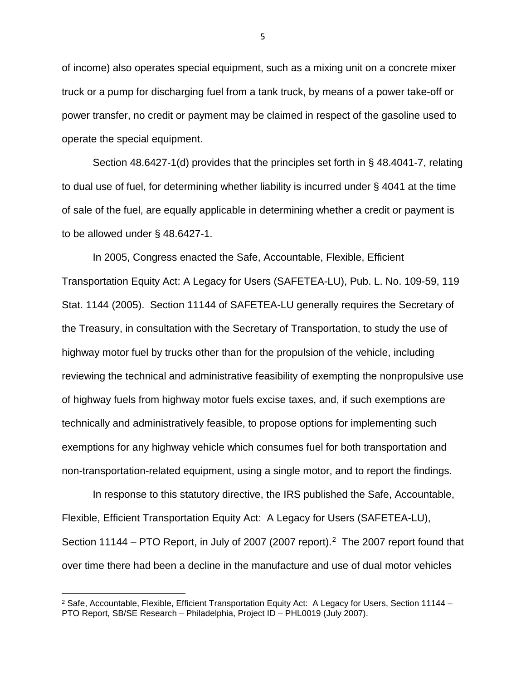of income) also operates special equipment, such as a mixing unit on a concrete mixer truck or a pump for discharging fuel from a tank truck, by means of a power take-off or power transfer, no credit or payment may be claimed in respect of the gasoline used to operate the special equipment.

Section 48.6427-1(d) provides that the principles set forth in § 48.4041-7, relating to dual use of fuel, for determining whether liability is incurred under § 4041 at the time of sale of the fuel, are equally applicable in determining whether a credit or payment is to be allowed under § 48.6427-1.

In 2005, Congress enacted the Safe, Accountable, Flexible, Efficient Transportation Equity Act: A Legacy for Users (SAFETEA-LU), Pub. L. No. 109-59, 119 Stat. 1144 (2005). Section 11144 of SAFETEA-LU generally requires the Secretary of the Treasury, in consultation with the Secretary of Transportation, to study the use of highway motor fuel by trucks other than for the propulsion of the vehicle, including reviewing the technical and administrative feasibility of exempting the nonpropulsive use of highway fuels from highway motor fuels excise taxes, and, if such exemptions are technically and administratively feasible, to propose options for implementing such exemptions for any highway vehicle which consumes fuel for both transportation and non-transportation-related equipment, using a single motor, and to report the findings.

In response to this statutory directive, the IRS published the Safe, Accountable, Flexible, Efficient Transportation Equity Act: A Legacy for Users (SAFETEA-LU), Section 11144 – PTO Report, in July of [2](#page-4-0)007 (2007 report).<sup>2</sup> The 2007 report found that over time there had been a decline in the manufacture and use of dual motor vehicles

 $\overline{\phantom{a}}$ 

<span id="page-4-0"></span><sup>2</sup> Safe, Accountable, Flexible, Efficient Transportation Equity Act: A Legacy for Users, Section 11144 – PTO Report, SB/SE Research – Philadelphia, Project ID – PHL0019 (July 2007).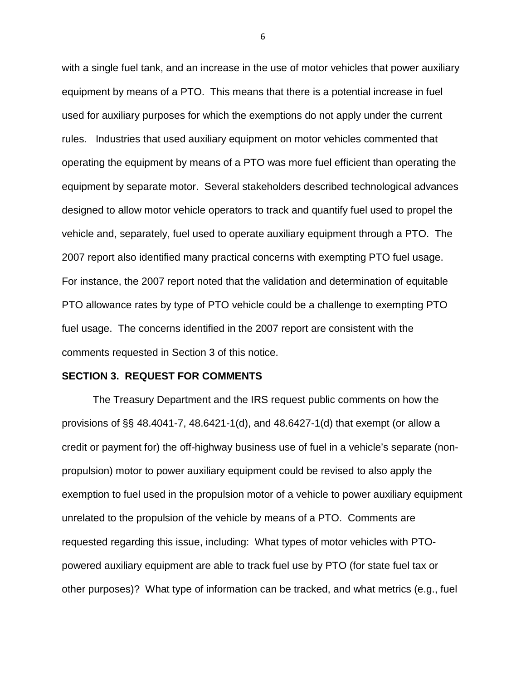with a single fuel tank, and an increase in the use of motor vehicles that power auxiliary equipment by means of a PTO. This means that there is a potential increase in fuel used for auxiliary purposes for which the exemptions do not apply under the current rules. Industries that used auxiliary equipment on motor vehicles commented that operating the equipment by means of a PTO was more fuel efficient than operating the equipment by separate motor. Several stakeholders described technological advances designed to allow motor vehicle operators to track and quantify fuel used to propel the vehicle and, separately, fuel used to operate auxiliary equipment through a PTO. The 2007 report also identified many practical concerns with exempting PTO fuel usage. For instance, the 2007 report noted that the validation and determination of equitable PTO allowance rates by type of PTO vehicle could be a challenge to exempting PTO fuel usage. The concerns identified in the 2007 report are consistent with the comments requested in Section 3 of this notice.

## **SECTION 3. REQUEST FOR COMMENTS**

The Treasury Department and the IRS request public comments on how the provisions of §§ 48.4041-7, 48.6421-1(d), and 48.6427-1(d) that exempt (or allow a credit or payment for) the off-highway business use of fuel in a vehicle's separate (nonpropulsion) motor to power auxiliary equipment could be revised to also apply the exemption to fuel used in the propulsion motor of a vehicle to power auxiliary equipment unrelated to the propulsion of the vehicle by means of a PTO. Comments are requested regarding this issue, including: What types of motor vehicles with PTOpowered auxiliary equipment are able to track fuel use by PTO (for state fuel tax or other purposes)? What type of information can be tracked, and what metrics (e.g., fuel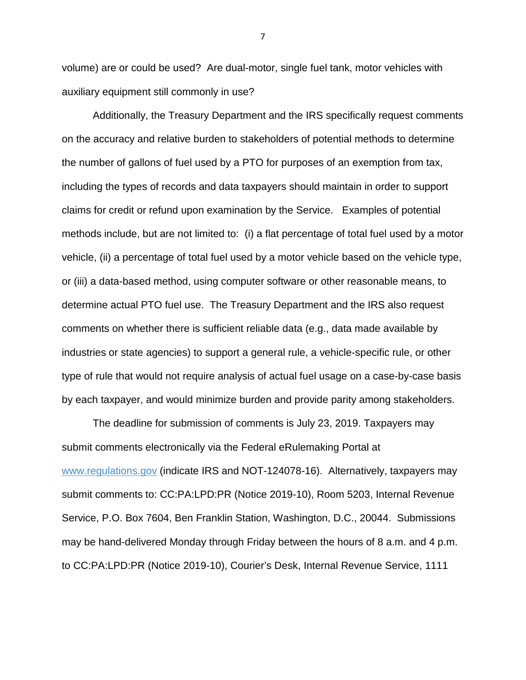volume) are or could be used? Are dual-motor, single fuel tank, motor vehicles with auxiliary equipment still commonly in use?

Additionally, the Treasury Department and the IRS specifically request comments on the accuracy and relative burden to stakeholders of potential methods to determine the number of gallons of fuel used by a PTO for purposes of an exemption from tax, including the types of records and data taxpayers should maintain in order to support claims for credit or refund upon examination by the Service. Examples of potential methods include, but are not limited to: (i) a flat percentage of total fuel used by a motor vehicle, (ii) a percentage of total fuel used by a motor vehicle based on the vehicle type, or (iii) a data-based method, using computer software or other reasonable means, to determine actual PTO fuel use. The Treasury Department and the IRS also request comments on whether there is sufficient reliable data (e.g., data made available by industries or state agencies) to support a general rule, a vehicle-specific rule, or other type of rule that would not require analysis of actual fuel usage on a case-by-case basis by each taxpayer, and would minimize burden and provide parity among stakeholders.

The deadline for submission of comments is July 23, 2019. Taxpayers may submit comments electronically via the Federal eRulemaking Portal at [www.regulations.gov](http://www.regulations.gov/) (indicate IRS and NOT-124078-16). Alternatively, taxpayers may submit comments to: CC:PA:LPD:PR (Notice 2019-10), Room 5203, Internal Revenue Service, P.O. Box 7604, Ben Franklin Station, Washington, D.C., 20044. Submissions may be hand-delivered Monday through Friday between the hours of 8 a.m. and 4 p.m. to CC:PA:LPD:PR (Notice 2019-10), Courier's Desk, Internal Revenue Service, 1111